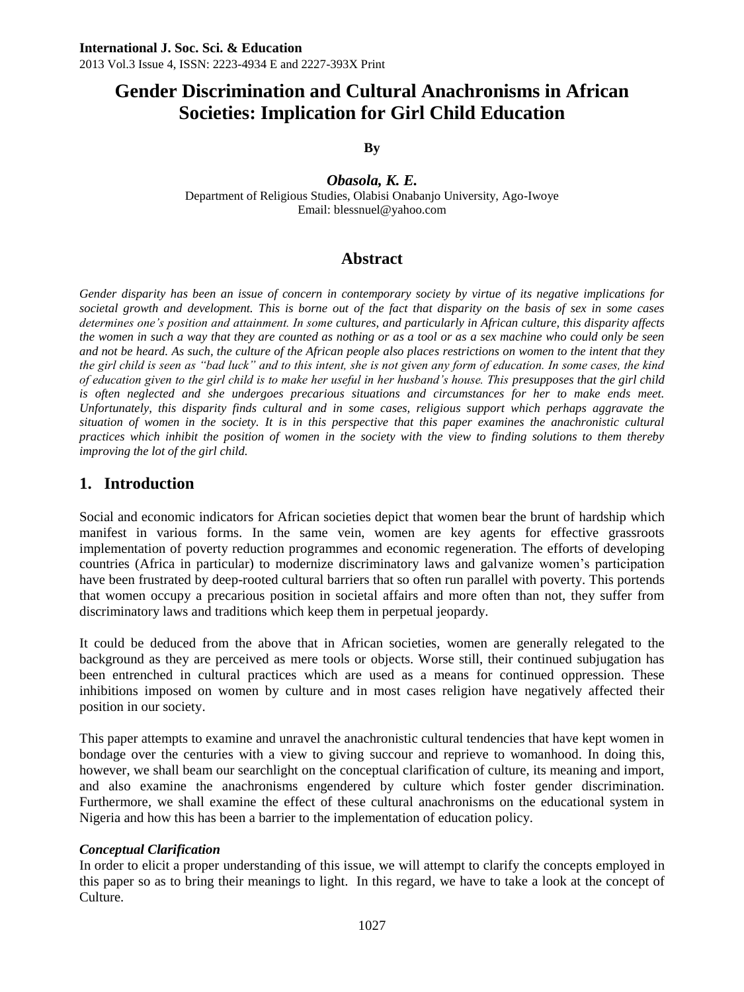**By**

*Obasola, K. E.* Department of Religious Studies, Olabisi Onabanjo University, Ago-Iwoye Email: blessnuel@yahoo.com

# **Abstract**

*Gender disparity has been an issue of concern in contemporary society by virtue of its negative implications for societal growth and development. This is borne out of the fact that disparity on the basis of sex in some cases determines one's position and attainment. In some cultures, and particularly in African culture, this disparity affects the women in such a way that they are counted as nothing or as a tool or as a sex machine who could only be seen and not be heard. As such, the culture of the African people also places restrictions on women to the intent that they the girl child is seen as "bad luck" and to this intent, she is not given any form of education. In some cases, the kind of education given to the girl child is to make her useful in her husband's house. This presupposes that the girl child is often neglected and she undergoes precarious situations and circumstances for her to make ends meet. Unfortunately, this disparity finds cultural and in some cases, religious support which perhaps aggravate the situation of women in the society. It is in this perspective that this paper examines the anachronistic cultural practices which inhibit the position of women in the society with the view to finding solutions to them thereby improving the lot of the girl child.* 

# **1. Introduction**

Social and economic indicators for African societies depict that women bear the brunt of hardship which manifest in various forms. In the same vein, women are key agents for effective grassroots implementation of poverty reduction programmes and economic regeneration. The efforts of developing countries (Africa in particular) to modernize discriminatory laws and galvanize women's participation have been frustrated by deep-rooted cultural barriers that so often run parallel with poverty. This portends that women occupy a precarious position in societal affairs and more often than not, they suffer from discriminatory laws and traditions which keep them in perpetual jeopardy.

It could be deduced from the above that in African societies, women are generally relegated to the background as they are perceived as mere tools or objects. Worse still, their continued subjugation has been entrenched in cultural practices which are used as a means for continued oppression. These inhibitions imposed on women by culture and in most cases religion have negatively affected their position in our society.

This paper attempts to examine and unravel the anachronistic cultural tendencies that have kept women in bondage over the centuries with a view to giving succour and reprieve to womanhood. In doing this, however, we shall beam our searchlight on the conceptual clarification of culture, its meaning and import, and also examine the anachronisms engendered by culture which foster gender discrimination. Furthermore, we shall examine the effect of these cultural anachronisms on the educational system in Nigeria and how this has been a barrier to the implementation of education policy.

#### *Conceptual Clarification*

In order to elicit a proper understanding of this issue, we will attempt to clarify the concepts employed in this paper so as to bring their meanings to light. In this regard, we have to take a look at the concept of Culture.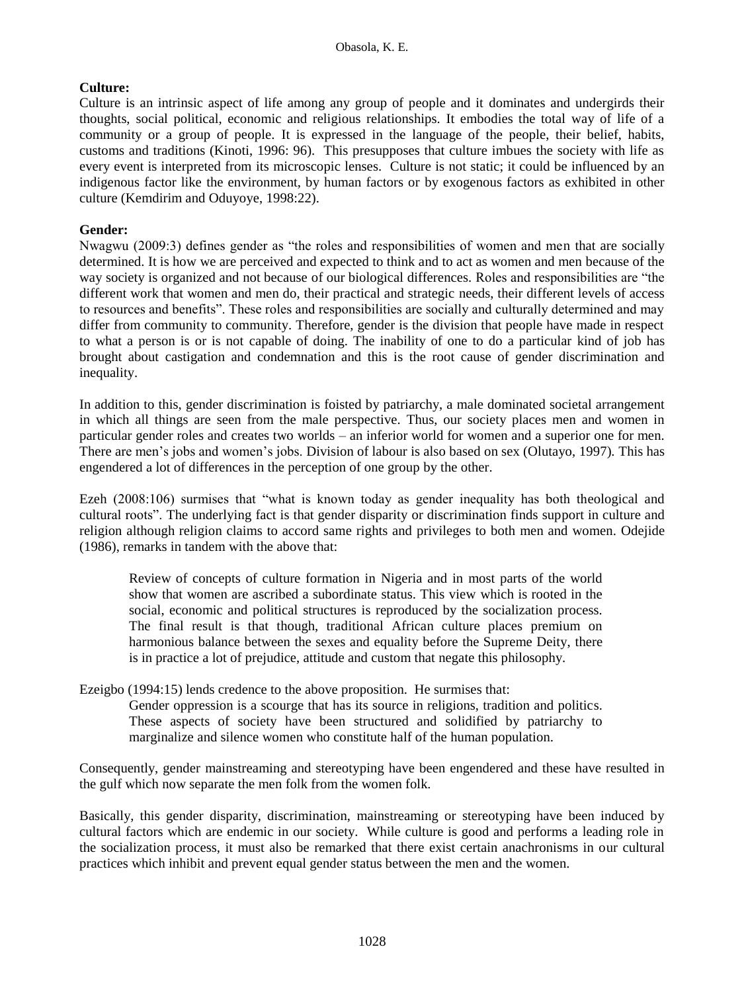### **Culture:**

Culture is an intrinsic aspect of life among any group of people and it dominates and undergirds their thoughts, social political, economic and religious relationships. It embodies the total way of life of a community or a group of people. It is expressed in the language of the people, their belief, habits, customs and traditions (Kinoti, 1996: 96). This presupposes that culture imbues the society with life as every event is interpreted from its microscopic lenses. Culture is not static; it could be influenced by an indigenous factor like the environment, by human factors or by exogenous factors as exhibited in other culture (Kemdirim and Oduyoye, 1998:22).

### **Gender:**

Nwagwu (2009:3) defines gender as "the roles and responsibilities of women and men that are socially determined. It is how we are perceived and expected to think and to act as women and men because of the way society is organized and not because of our biological differences. Roles and responsibilities are "the different work that women and men do, their practical and strategic needs, their different levels of access to resources and benefits". These roles and responsibilities are socially and culturally determined and may differ from community to community. Therefore, gender is the division that people have made in respect to what a person is or is not capable of doing. The inability of one to do a particular kind of job has brought about castigation and condemnation and this is the root cause of gender discrimination and inequality.

In addition to this, gender discrimination is foisted by patriarchy, a male dominated societal arrangement in which all things are seen from the male perspective. Thus, our society places men and women in particular gender roles and creates two worlds – an inferior world for women and a superior one for men. There are men's jobs and women's jobs. Division of labour is also based on sex (Olutayo, 1997). This has engendered a lot of differences in the perception of one group by the other.

Ezeh (2008:106) surmises that "what is known today as gender inequality has both theological and cultural roots". The underlying fact is that gender disparity or discrimination finds support in culture and religion although religion claims to accord same rights and privileges to both men and women. Odejide (1986), remarks in tandem with the above that:

Review of concepts of culture formation in Nigeria and in most parts of the world show that women are ascribed a subordinate status. This view which is rooted in the social, economic and political structures is reproduced by the socialization process. The final result is that though, traditional African culture places premium on harmonious balance between the sexes and equality before the Supreme Deity, there is in practice a lot of prejudice, attitude and custom that negate this philosophy.

Ezeigbo (1994:15) lends credence to the above proposition. He surmises that:

Gender oppression is a scourge that has its source in religions, tradition and politics. These aspects of society have been structured and solidified by patriarchy to marginalize and silence women who constitute half of the human population.

Consequently, gender mainstreaming and stereotyping have been engendered and these have resulted in the gulf which now separate the men folk from the women folk.

Basically, this gender disparity, discrimination, mainstreaming or stereotyping have been induced by cultural factors which are endemic in our society. While culture is good and performs a leading role in the socialization process, it must also be remarked that there exist certain anachronisms in our cultural practices which inhibit and prevent equal gender status between the men and the women.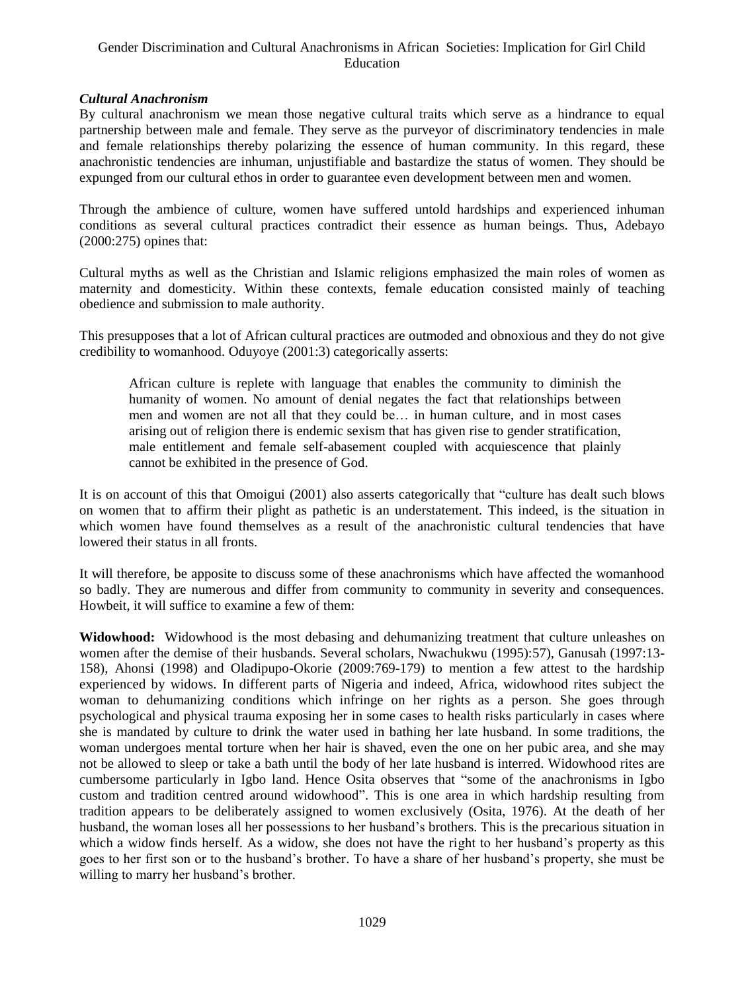#### *Cultural Anachronism*

By cultural anachronism we mean those negative cultural traits which serve as a hindrance to equal partnership between male and female. They serve as the purveyor of discriminatory tendencies in male and female relationships thereby polarizing the essence of human community. In this regard, these anachronistic tendencies are inhuman, unjustifiable and bastardize the status of women. They should be expunged from our cultural ethos in order to guarantee even development between men and women.

Through the ambience of culture, women have suffered untold hardships and experienced inhuman conditions as several cultural practices contradict their essence as human beings. Thus, Adebayo (2000:275) opines that:

Cultural myths as well as the Christian and Islamic religions emphasized the main roles of women as maternity and domesticity. Within these contexts, female education consisted mainly of teaching obedience and submission to male authority.

This presupposes that a lot of African cultural practices are outmoded and obnoxious and they do not give credibility to womanhood. Oduyoye (2001:3) categorically asserts:

African culture is replete with language that enables the community to diminish the humanity of women. No amount of denial negates the fact that relationships between men and women are not all that they could be… in human culture, and in most cases arising out of religion there is endemic sexism that has given rise to gender stratification, male entitlement and female self-abasement coupled with acquiescence that plainly cannot be exhibited in the presence of God.

It is on account of this that Omoigui (2001) also asserts categorically that "culture has dealt such blows on women that to affirm their plight as pathetic is an understatement. This indeed, is the situation in which women have found themselves as a result of the anachronistic cultural tendencies that have lowered their status in all fronts.

It will therefore, be apposite to discuss some of these anachronisms which have affected the womanhood so badly. They are numerous and differ from community to community in severity and consequences. Howbeit, it will suffice to examine a few of them:

**Widowhood:** Widowhood is the most debasing and dehumanizing treatment that culture unleashes on women after the demise of their husbands. Several scholars, Nwachukwu (1995):57), Ganusah (1997:13- 158), Ahonsi (1998) and Oladipupo-Okorie (2009:769-179) to mention a few attest to the hardship experienced by widows. In different parts of Nigeria and indeed, Africa, widowhood rites subject the woman to dehumanizing conditions which infringe on her rights as a person. She goes through psychological and physical trauma exposing her in some cases to health risks particularly in cases where she is mandated by culture to drink the water used in bathing her late husband. In some traditions, the woman undergoes mental torture when her hair is shaved, even the one on her pubic area, and she may not be allowed to sleep or take a bath until the body of her late husband is interred. Widowhood rites are cumbersome particularly in Igbo land. Hence Osita observes that "some of the anachronisms in Igbo custom and tradition centred around widowhood". This is one area in which hardship resulting from tradition appears to be deliberately assigned to women exclusively (Osita, 1976). At the death of her husband, the woman loses all her possessions to her husband's brothers. This is the precarious situation in which a widow finds herself. As a widow, she does not have the right to her husband's property as this goes to her first son or to the husband's brother. To have a share of her husband's property, she must be willing to marry her husband's brother.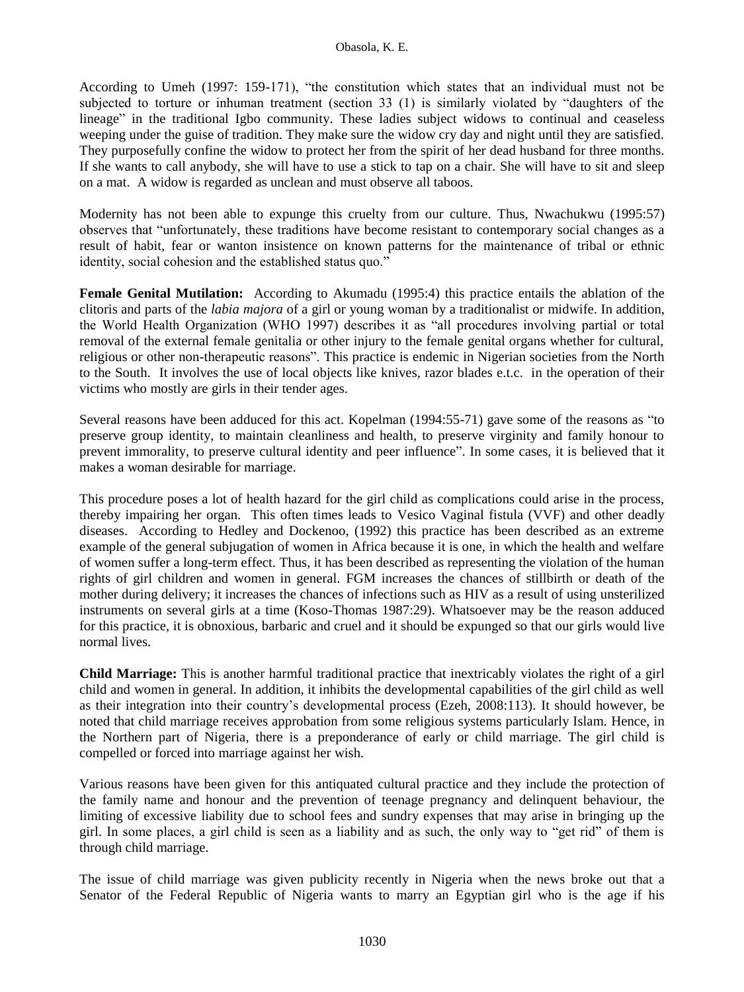According to Umeh (1997: 159-171), "the constitution which states that an individual must not be subjected to torture or inhuman treatment (section 33 (1) is similarly violated by "daughters of the lineage" in the traditional Igbo community. These ladies subject widows to continual and ceaseless weeping under the guise of tradition. They make sure the widow cry day and night until they are satisfied. They purposefully confine the widow to protect her from the spirit of her dead husband for three months. If she wants to call anybody, she will have to use a stick to tap on a chair. She will have to sit and sleep on a mat. A widow is regarded as unclean and must observe all taboos.

Modernity has not been able to expunge this cruelty from our culture. Thus, Nwachukwu (1995:57) observes that "unfortunately, these traditions have become resistant to contemporary social changes as a result of habit, fear or wanton insistence on known patterns for the maintenance of tribal or ethnic identity, social cohesion and the established status quo."

**Female Genital Mutilation:** According to Akumadu (1995:4) this practice entails the ablation of the clitoris and parts of the *labia majora* of a girl or young woman by a traditionalist or midwife. In addition, the World Health Organization (WHO 1997) describes it as "all procedures involving partial or total removal of the external female genitalia or other injury to the female genital organs whether for cultural, religious or other non-therapeutic reasons". This practice is endemic in Nigerian societies from the North to the South. It involves the use of local objects like knives, razor blades e.t.c. in the operation of their victims who mostly are girls in their tender ages.

Several reasons have been adduced for this act. Kopelman (1994:55-71) gave some of the reasons as "to preserve group identity, to maintain cleanliness and health, to preserve virginity and family honour to prevent immorality, to preserve cultural identity and peer influence". In some cases, it is believed that it makes a woman desirable for marriage.

This procedure poses a lot of health hazard for the girl child as complications could arise in the process, thereby impairing her organ. This often times leads to Vesico Vaginal fistula (VVF) and other deadly diseases. According to Hedley and Dockenoo, (1992) this practice has been described as an extreme example of the general subjugation of women in Africa because it is one, in which the health and welfare of women suffer a long-term effect. Thus, it has been described as representing the violation of the human rights of girl children and women in general. FGM increases the chances of stillbirth or death of the mother during delivery; it increases the chances of infections such as HIV as a result of using unsterilized instruments on several girls at a time (Koso-Thomas 1987:29). Whatsoever may be the reason adduced for this practice, it is obnoxious, barbaric and cruel and it should be expunged so that our girls would live normal lives.

**Child Marriage:** This is another harmful traditional practice that inextricably violates the right of a girl child and women in general. In addition, it inhibits the developmental capabilities of the girl child as well as their integration into their country's developmental process (Ezeh, 2008:113). It should however, be noted that child marriage receives approbation from some religious systems particularly Islam. Hence, in the Northern part of Nigeria, there is a preponderance of early or child marriage. The girl child is compelled or forced into marriage against her wish.

Various reasons have been given for this antiquated cultural practice and they include the protection of the family name and honour and the prevention of teenage pregnancy and delinquent behaviour, the limiting of excessive liability due to school fees and sundry expenses that may arise in bringing up the girl. In some places, a girl child is seen as a liability and as such, the only way to "get rid" of them is through child marriage.

The issue of child marriage was given publicity recently in Nigeria when the news broke out that a Senator of the Federal Republic of Nigeria wants to marry an Egyptian girl who is the age if his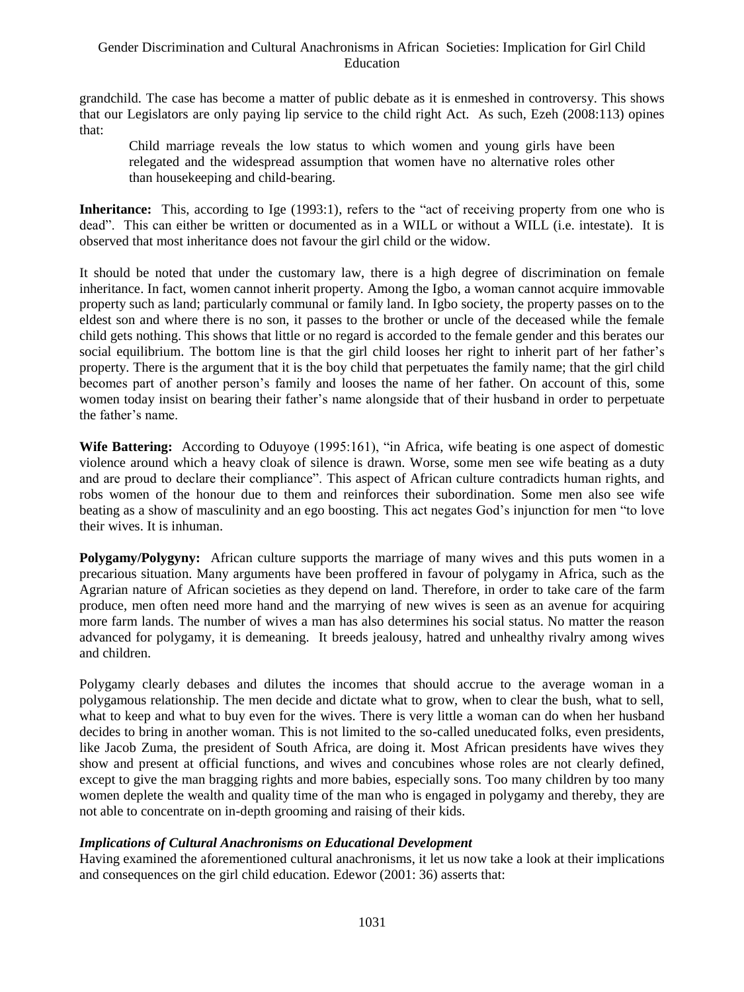grandchild. The case has become a matter of public debate as it is enmeshed in controversy. This shows that our Legislators are only paying lip service to the child right Act. As such, Ezeh (2008:113) opines that:

Child marriage reveals the low status to which women and young girls have been relegated and the widespread assumption that women have no alternative roles other than housekeeping and child-bearing.

**Inheritance:** This, according to Ige (1993:1), refers to the "act of receiving property from one who is dead". This can either be written or documented as in a WILL or without a WILL (i.e. intestate). It is observed that most inheritance does not favour the girl child or the widow.

It should be noted that under the customary law, there is a high degree of discrimination on female inheritance. In fact, women cannot inherit property. Among the Igbo, a woman cannot acquire immovable property such as land; particularly communal or family land. In Igbo society, the property passes on to the eldest son and where there is no son, it passes to the brother or uncle of the deceased while the female child gets nothing. This shows that little or no regard is accorded to the female gender and this berates our social equilibrium. The bottom line is that the girl child looses her right to inherit part of her father's property. There is the argument that it is the boy child that perpetuates the family name; that the girl child becomes part of another person's family and looses the name of her father. On account of this, some women today insist on bearing their father's name alongside that of their husband in order to perpetuate the father's name.

**Wife Battering:** According to Oduyoye (1995:161), "in Africa, wife beating is one aspect of domestic violence around which a heavy cloak of silence is drawn. Worse, some men see wife beating as a duty and are proud to declare their compliance". This aspect of African culture contradicts human rights, and robs women of the honour due to them and reinforces their subordination. Some men also see wife beating as a show of masculinity and an ego boosting. This act negates God's injunction for men "to love their wives. It is inhuman.

**Polygamy/Polygyny:** African culture supports the marriage of many wives and this puts women in a precarious situation. Many arguments have been proffered in favour of polygamy in Africa, such as the Agrarian nature of African societies as they depend on land. Therefore, in order to take care of the farm produce, men often need more hand and the marrying of new wives is seen as an avenue for acquiring more farm lands. The number of wives a man has also determines his social status. No matter the reason advanced for polygamy, it is demeaning. It breeds jealousy, hatred and unhealthy rivalry among wives and children.

Polygamy clearly debases and dilutes the incomes that should accrue to the average woman in a polygamous relationship. The men decide and dictate what to grow, when to clear the bush, what to sell, what to keep and what to buy even for the wives. There is very little a woman can do when her husband decides to bring in another woman. This is not limited to the so-called uneducated folks, even presidents, like Jacob Zuma, the president of South Africa, are doing it. Most African presidents have wives they show and present at official functions, and wives and concubines whose roles are not clearly defined, except to give the man bragging rights and more babies, especially sons. Too many children by too many women deplete the wealth and quality time of the man who is engaged in polygamy and thereby, they are not able to concentrate on in-depth grooming and raising of their kids.

### *Implications of Cultural Anachronisms on Educational Development*

Having examined the aforementioned cultural anachronisms, it let us now take a look at their implications and consequences on the girl child education. Edewor (2001: 36) asserts that: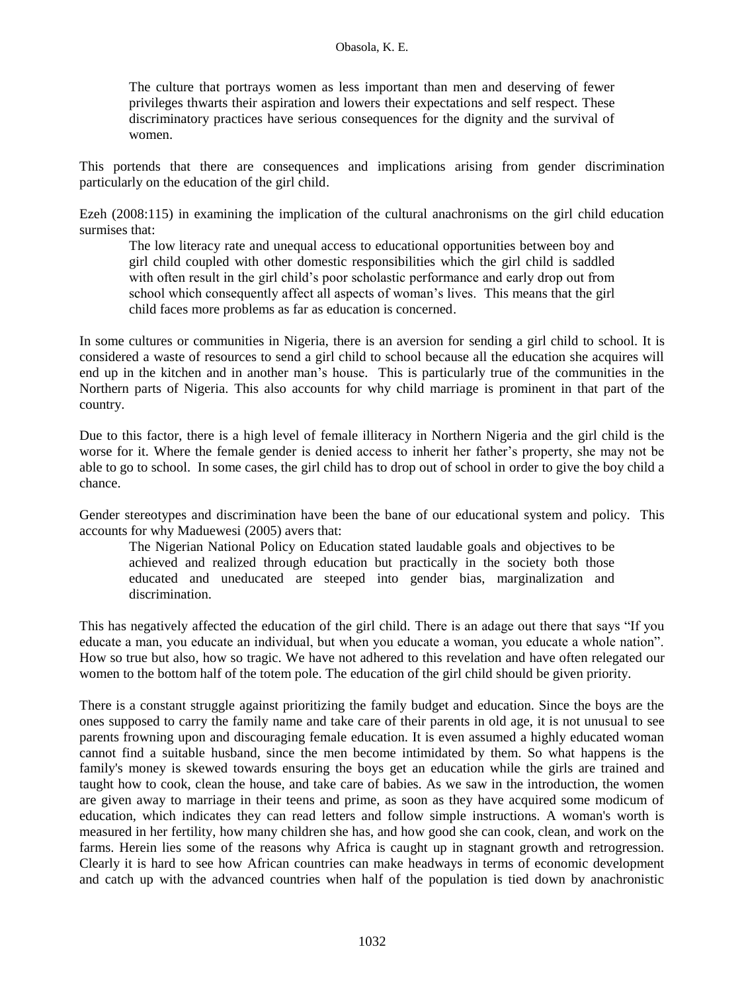#### Obasola, K. E.

The culture that portrays women as less important than men and deserving of fewer privileges thwarts their aspiration and lowers their expectations and self respect. These discriminatory practices have serious consequences for the dignity and the survival of women.

This portends that there are consequences and implications arising from gender discrimination particularly on the education of the girl child.

Ezeh (2008:115) in examining the implication of the cultural anachronisms on the girl child education surmises that:

The low literacy rate and unequal access to educational opportunities between boy and girl child coupled with other domestic responsibilities which the girl child is saddled with often result in the girl child's poor scholastic performance and early drop out from school which consequently affect all aspects of woman's lives. This means that the girl child faces more problems as far as education is concerned.

In some cultures or communities in Nigeria, there is an aversion for sending a girl child to school. It is considered a waste of resources to send a girl child to school because all the education she acquires will end up in the kitchen and in another man's house. This is particularly true of the communities in the Northern parts of Nigeria. This also accounts for why child marriage is prominent in that part of the country.

Due to this factor, there is a high level of female illiteracy in Northern Nigeria and the girl child is the worse for it. Where the female gender is denied access to inherit her father's property, she may not be able to go to school. In some cases, the girl child has to drop out of school in order to give the boy child a chance.

Gender stereotypes and discrimination have been the bane of our educational system and policy. This accounts for why Maduewesi (2005) avers that:

The Nigerian National Policy on Education stated laudable goals and objectives to be achieved and realized through education but practically in the society both those educated and uneducated are steeped into gender bias, marginalization and discrimination.

This has negatively affected the education of the girl child. There is an adage out there that says "If you educate a man, you educate an individual, but when you educate a woman, you educate a whole nation". How so true but also, how so tragic. We have not adhered to this revelation and have often relegated our women to the bottom half of the totem pole. The education of the girl child should be given priority.

There is a constant struggle against prioritizing the family budget and education. Since the boys are the ones supposed to carry the family name and take care of their parents in old age, it is not unusual to see parents frowning upon and discouraging female education. It is even assumed a highly educated woman cannot find a suitable husband, since the men become intimidated by them. So what happens is the family's money is skewed towards ensuring the boys get an education while the girls are trained and taught how to cook, clean the house, and take care of babies. As we saw in the introduction, the women are given away to marriage in their teens and prime, as soon as they have acquired some modicum of education, which indicates they can read letters and follow simple instructions. A woman's worth is measured in her fertility, how many children she has, and how good she can cook, clean, and work on the farms. Herein lies some of the reasons why Africa is caught up in stagnant growth and retrogression. Clearly it is hard to see how African countries can make headways in terms of economic development and catch up with the advanced countries when half of the population is tied down by anachronistic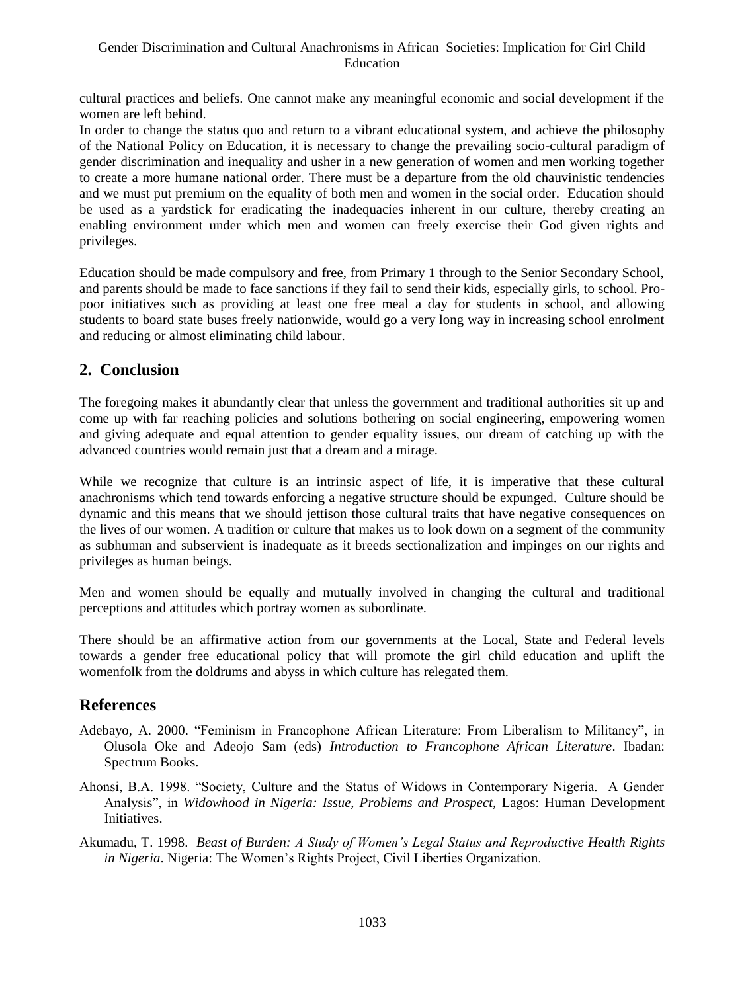cultural practices and beliefs. One cannot make any meaningful economic and social development if the women are left behind.

In order to change the status quo and return to a vibrant educational system, and achieve the philosophy of the National Policy on Education, it is necessary to change the prevailing socio-cultural paradigm of gender discrimination and inequality and usher in a new generation of women and men working together to create a more humane national order. There must be a departure from the old chauvinistic tendencies and we must put premium on the equality of both men and women in the social order. Education should be used as a yardstick for eradicating the inadequacies inherent in our culture, thereby creating an enabling environment under which men and women can freely exercise their God given rights and privileges.

Education should be made compulsory and free, from Primary 1 through to the Senior Secondary School, and parents should be made to face sanctions if they fail to send their kids, especially girls, to school. Propoor initiatives such as providing at least one free meal a day for students in school, and allowing students to board state buses freely nationwide, would go a very long way in increasing school enrolment and reducing or almost eliminating child labour.

# **2. Conclusion**

The foregoing makes it abundantly clear that unless the government and traditional authorities sit up and come up with far reaching policies and solutions bothering on social engineering, empowering women and giving adequate and equal attention to gender equality issues, our dream of catching up with the advanced countries would remain just that a dream and a mirage.

While we recognize that culture is an intrinsic aspect of life, it is imperative that these cultural anachronisms which tend towards enforcing a negative structure should be expunged. Culture should be dynamic and this means that we should jettison those cultural traits that have negative consequences on the lives of our women. A tradition or culture that makes us to look down on a segment of the community as subhuman and subservient is inadequate as it breeds sectionalization and impinges on our rights and privileges as human beings.

Men and women should be equally and mutually involved in changing the cultural and traditional perceptions and attitudes which portray women as subordinate.

There should be an affirmative action from our governments at the Local, State and Federal levels towards a gender free educational policy that will promote the girl child education and uplift the womenfolk from the doldrums and abyss in which culture has relegated them.

## **References**

- Adebayo, A. 2000. "Feminism in Francophone African Literature: From Liberalism to Militancy", in Olusola Oke and Adeojo Sam (eds) *Introduction to Francophone African Literature*. Ibadan: Spectrum Books.
- Ahonsi, B.A. 1998. "Society, Culture and the Status of Widows in Contemporary Nigeria. A Gender Analysis", in *Widowhood in Nigeria: Issue, Problems and Prospect,* Lagos: Human Development Initiatives.
- Akumadu, T. 1998. *Beast of Burden: A Study of Women's Legal Status and Reproductive Health Rights in Nigeria*. Nigeria: The Women's Rights Project, Civil Liberties Organization.